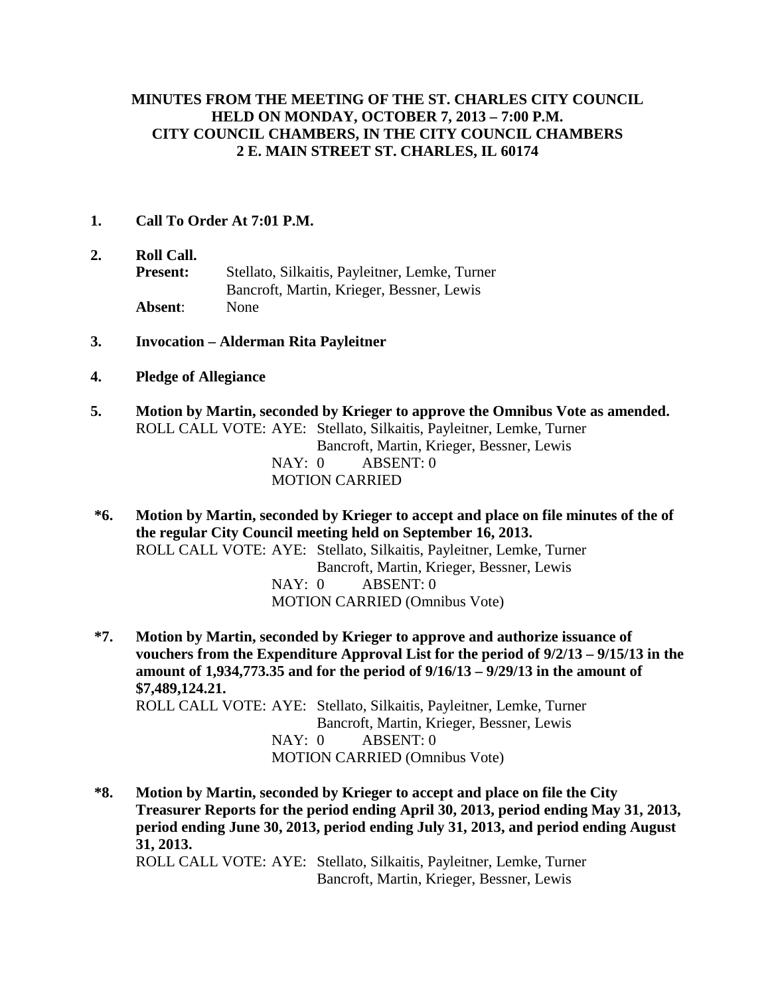#### **MINUTES FROM THE MEETING OF THE ST. CHARLES CITY COUNCIL HELD ON MONDAY, OCTOBER 7, 2013 – 7:00 P.M. CITY COUNCIL CHAMBERS, IN THE CITY COUNCIL CHAMBERS 2 E. MAIN STREET ST. CHARLES, IL 60174**

#### **1. Call To Order At 7:01 P.M.**

- **2. Roll Call. Present:** Stellato, Silkaitis, Payleitner, Lemke, Turner Bancroft, Martin, Krieger, Bessner, Lewis **Absent**: None
- **3. Invocation – Alderman Rita Payleitner**
- **4. Pledge of Allegiance**
- **5. Motion by Martin, seconded by Krieger to approve the Omnibus Vote as amended.** ROLL CALL VOTE: AYE: Stellato, Silkaitis, Payleitner, Lemke, Turner Bancroft, Martin, Krieger, Bessner, Lewis NAY: 0 ABSENT: 0 MOTION CARRIED
- **\*6. Motion by Martin, seconded by Krieger to accept and place on file minutes of the of the regular City Council meeting held on September 16, 2013.** ROLL CALL VOTE: AYE: Stellato, Silkaitis, Payleitner, Lemke, Turner Bancroft, Martin, Krieger, Bessner, Lewis NAY: 0 ABSENT: 0 MOTION CARRIED (Omnibus Vote)
- **\*7. Motion by Martin, seconded by Krieger to approve and authorize issuance of vouchers from the Expenditure Approval List for the period of 9/2/13 – 9/15/13 in the amount of 1,934,773.35 and for the period of 9/16/13 – 9/29/13 in the amount of \$7,489,124.21.** ROLL CALL VOTE: AYE: Stellato, Silkaitis, Payleitner, Lemke, Turner Bancroft, Martin, Krieger, Bessner, Lewis NAY: 0 ABSENT: 0 MOTION CARRIED (Omnibus Vote)
- **\*8. Motion by Martin, seconded by Krieger to accept and place on file the City Treasurer Reports for the period ending April 30, 2013, period ending May 31, 2013, period ending June 30, 2013, period ending July 31, 2013, and period ending August 31, 2013.**  ROLL CALL VOTE: AYE: Stellato, Silkaitis, Payleitner, Lemke, Turner Bancroft, Martin, Krieger, Bessner, Lewis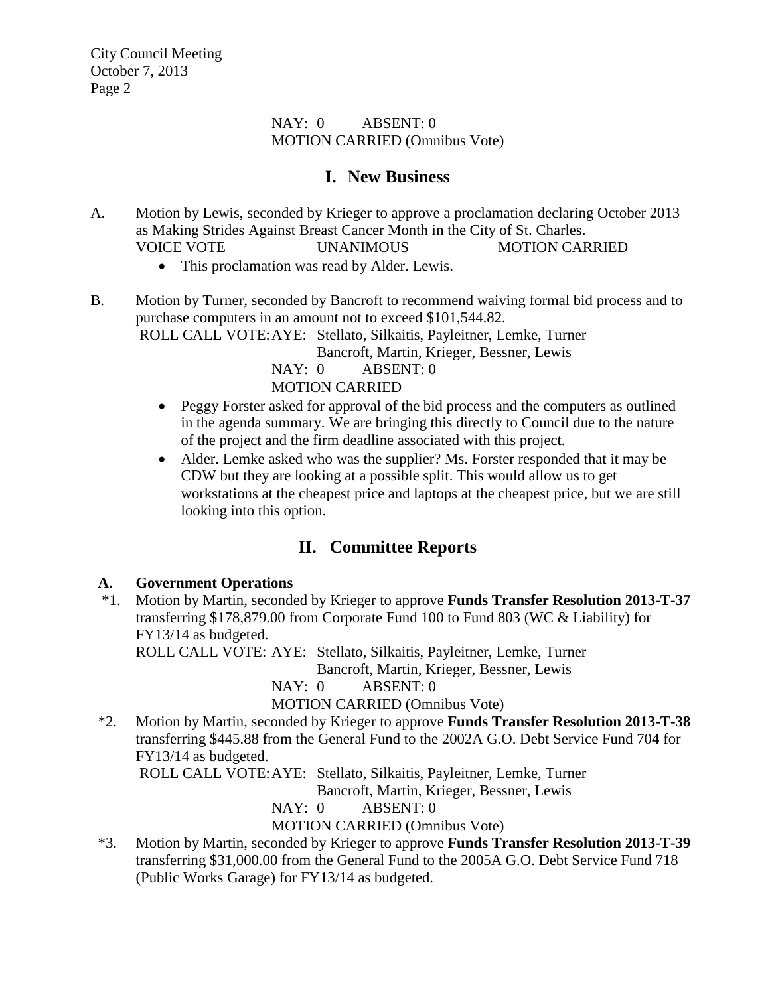#### NAY: 0 ABSENT: 0 MOTION CARRIED (Omnibus Vote)

# **I. New Business**

- A. Motion by Lewis, seconded by Krieger to approve a proclamation declaring October 2013 as Making Strides Against Breast Cancer Month in the City of St. Charles. VOICE VOTE UNANIMOUS MOTION CARRIED
	- This proclamation was read by Alder. Lewis.
- B. Motion by Turner, seconded by Bancroft to recommend waiving formal bid process and to purchase computers in an amount not to exceed \$101,544.82. ROLL CALL VOTE:AYE: Stellato, Silkaitis, Payleitner, Lemke, Turner Bancroft, Martin, Krieger, Bessner, Lewis

NAY: 0 ABSENT: 0 MOTION CARRIED

- Peggy Forster asked for approval of the bid process and the computers as outlined in the agenda summary. We are bringing this directly to Council due to the nature of the project and the firm deadline associated with this project.
- Alder. Lemke asked who was the supplier? Ms. Forster responded that it may be CDW but they are looking at a possible split. This would allow us to get workstations at the cheapest price and laptops at the cheapest price, but we are still looking into this option.

# **II. Committee Reports**

# **A. Government Operations**

 \*1. Motion by Martin, seconded by Krieger to approve **Funds Transfer Resolution 2013-T-37** transferring \$178,879.00 from Corporate Fund 100 to Fund 803 (WC & Liability) for FY13/14 as budgeted.

ROLL CALL VOTE: AYE: Stellato, Silkaitis, Payleitner, Lemke, Turner

Bancroft, Martin, Krieger, Bessner, Lewis

NAY: 0 ABSENT: 0

MOTION CARRIED (Omnibus Vote)

 \*2. Motion by Martin, seconded by Krieger to approve **Funds Transfer Resolution 2013-T-38** transferring \$445.88 from the General Fund to the 2002A G.O. Debt Service Fund 704 for FY13/14 as budgeted.

ROLL CALL VOTE:AYE: Stellato, Silkaitis, Payleitner, Lemke, Turner

Bancroft, Martin, Krieger, Bessner, Lewis

NAY: 0 ABSENT: 0

### MOTION CARRIED (Omnibus Vote)

 \*3. Motion by Martin, seconded by Krieger to approve **Funds Transfer Resolution 2013-T-39** transferring \$31,000.00 from the General Fund to the 2005A G.O. Debt Service Fund 718 (Public Works Garage) for FY13/14 as budgeted.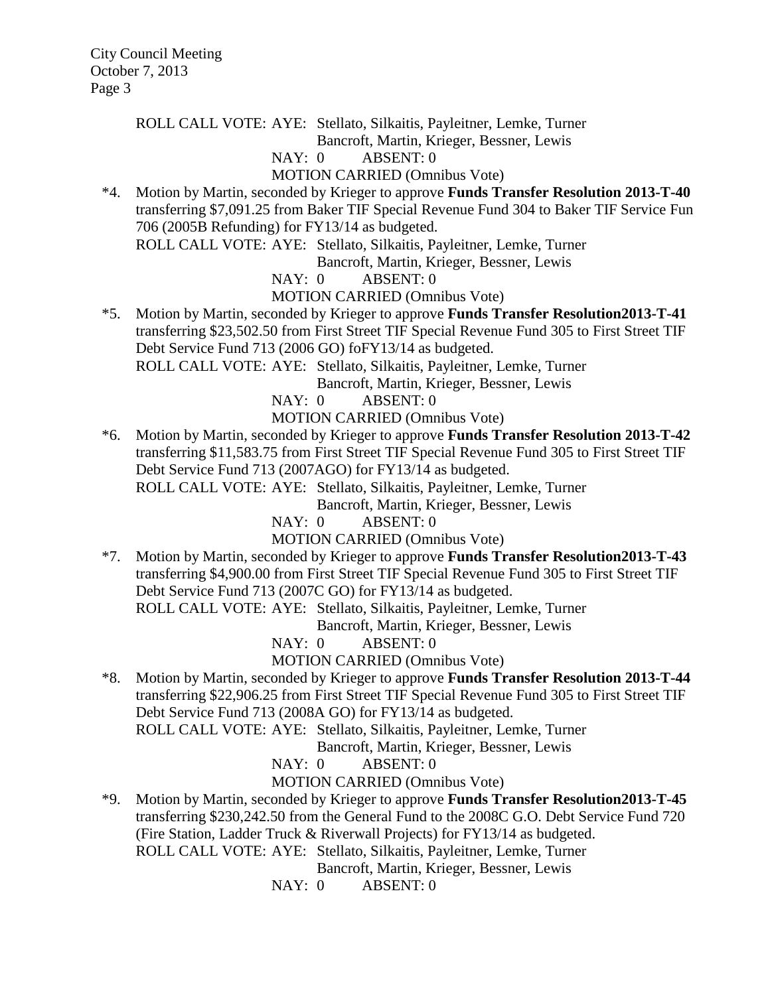ROLL CALL VOTE: AYE: Stellato, Silkaitis, Payleitner, Lemke, Turner

Bancroft, Martin, Krieger, Bessner, Lewis

#### NAY: 0 ABSENT: 0

MOTION CARRIED (Omnibus Vote)

 \*4. Motion by Martin, seconded by Krieger to approve **Funds Transfer Resolution 2013-T-40** transferring \$7,091.25 from Baker TIF Special Revenue Fund 304 to Baker TIF Service Fun 706 (2005B Refunding) for FY13/14 as budgeted. ROLL CALL VOTE: AYE: Stellato, Silkaitis, Payleitner, Lemke, Turner

Bancroft, Martin, Krieger, Bessner, Lewis

NAY: 0 ABSENT: 0

MOTION CARRIED (Omnibus Vote)

 \*5. Motion by Martin, seconded by Krieger to approve **Funds Transfer Resolution2013-T-41** transferring \$23,502.50 from First Street TIF Special Revenue Fund 305 to First Street TIF Debt Service Fund 713 (2006 GO) foFY13/14 as budgeted.

ROLL CALL VOTE: AYE: Stellato, Silkaitis, Payleitner, Lemke, Turner

Bancroft, Martin, Krieger, Bessner, Lewis

NAY: 0 ABSENT: 0

MOTION CARRIED (Omnibus Vote)

 \*6. Motion by Martin, seconded by Krieger to approve **Funds Transfer Resolution 2013-T-42** transferring \$11,583.75 from First Street TIF Special Revenue Fund 305 to First Street TIF Debt Service Fund 713 (2007AGO) for FY13/14 as budgeted.

ROLL CALL VOTE: AYE: Stellato, Silkaitis, Payleitner, Lemke, Turner

Bancroft, Martin, Krieger, Bessner, Lewis

NAY: 0 ABSENT: 0

MOTION CARRIED (Omnibus Vote)

 \*7. Motion by Martin, seconded by Krieger to approve **Funds Transfer Resolution2013-T-43**  transferring \$4,900.00 from First Street TIF Special Revenue Fund 305 to First Street TIF Debt Service Fund 713 (2007C GO) for FY13/14 as budgeted. ROLL CALL VOTE: AYE: Stellato, Silkaitis, Payleitner, Lemke, Turner

Bancroft, Martin, Krieger, Bessner, Lewis

NAY: 0 ABSENT: 0

### MOTION CARRIED (Omnibus Vote)

 \*8. Motion by Martin, seconded by Krieger to approve **Funds Transfer Resolution 2013-T-44** transferring \$22,906.25 from First Street TIF Special Revenue Fund 305 to First Street TIF Debt Service Fund 713 (2008A GO) for FY13/14 as budgeted.

ROLL CALL VOTE: AYE: Stellato, Silkaitis, Payleitner, Lemke, Turner

Bancroft, Martin, Krieger, Bessner, Lewis

NAY: 0 ABSENT: 0

MOTION CARRIED (Omnibus Vote)

 \*9. Motion by Martin, seconded by Krieger to approve **Funds Transfer Resolution2013-T-45** transferring \$230,242.50 from the General Fund to the 2008C G.O. Debt Service Fund 720 (Fire Station, Ladder Truck & Riverwall Projects) for FY13/14 as budgeted. ROLL CALL VOTE: AYE: Stellato, Silkaitis, Payleitner, Lemke, Turner

Bancroft, Martin, Krieger, Bessner, Lewis

NAY: 0 ABSENT: 0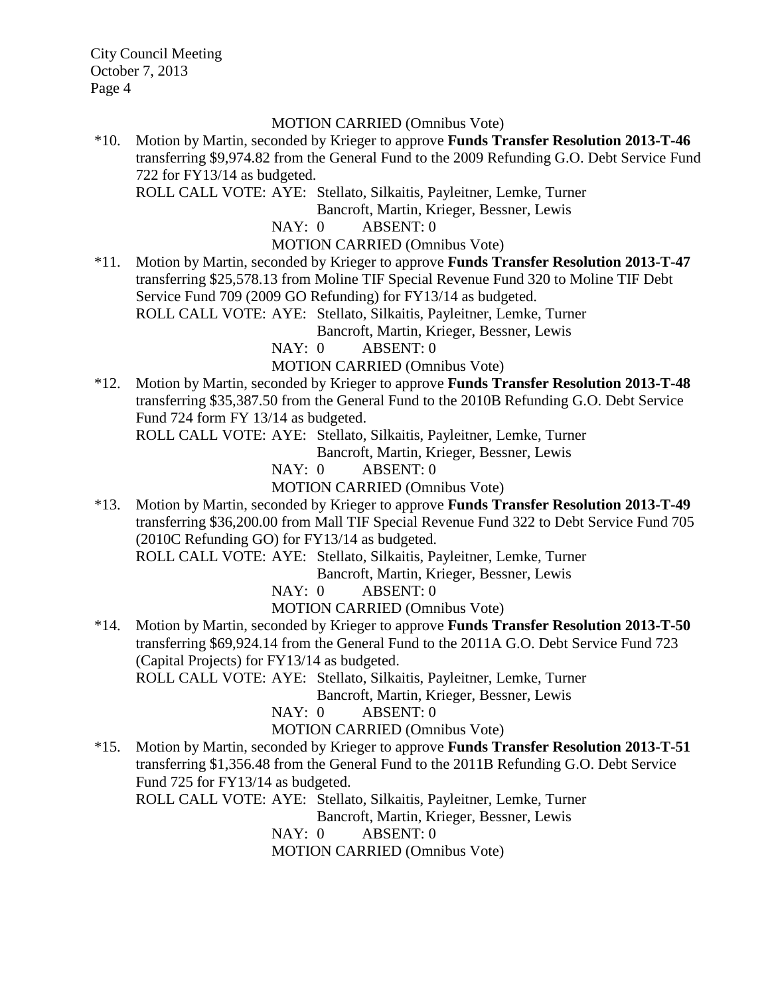#### MOTION CARRIED (Omnibus Vote)

\*10. Motion by Martin, seconded by Krieger to approve **Funds Transfer Resolution 2013-T-46** transferring \$9,974.82 from the General Fund to the 2009 Refunding G.O. Debt Service Fund 722 for FY13/14 as budgeted.

ROLL CALL VOTE: AYE: Stellato, Silkaitis, Payleitner, Lemke, Turner

Bancroft, Martin, Krieger, Bessner, Lewis

NAY: 0 ABSENT: 0

#### MOTION CARRIED (Omnibus Vote)

\*11. Motion by Martin, seconded by Krieger to approve **Funds Transfer Resolution 2013-T-47** transferring \$25,578.13 from Moline TIF Special Revenue Fund 320 to Moline TIF Debt Service Fund 709 (2009 GO Refunding) for FY13/14 as budgeted. ROLL CALL VOTE: AYE: Stellato, Silkaitis, Payleitner, Lemke, Turner

Bancroft, Martin, Krieger, Bessner, Lewis

NAY: 0 ABSENT: 0

MOTION CARRIED (Omnibus Vote)

\*12. Motion by Martin, seconded by Krieger to approve **Funds Transfer Resolution 2013-T-48** transferring \$35,387.50 from the General Fund to the 2010B Refunding G.O. Debt Service Fund 724 form FY 13/14 as budgeted.

ROLL CALL VOTE: AYE: Stellato, Silkaitis, Payleitner, Lemke, Turner

Bancroft, Martin, Krieger, Bessner, Lewis

NAY: 0 ABSENT: 0

MOTION CARRIED (Omnibus Vote)

\*13. Motion by Martin, seconded by Krieger to approve **Funds Transfer Resolution 2013-T-49** transferring \$36,200.00 from Mall TIF Special Revenue Fund 322 to Debt Service Fund 705 (2010C Refunding GO) for FY13/14 as budgeted.

ROLL CALL VOTE: AYE: Stellato, Silkaitis, Payleitner, Lemke, Turner

Bancroft, Martin, Krieger, Bessner, Lewis

NAY: 0 ABSENT: 0

MOTION CARRIED (Omnibus Vote)

\*14. Motion by Martin, seconded by Krieger to approve **Funds Transfer Resolution 2013-T-50**  transferring \$69,924.14 from the General Fund to the 2011A G.O. Debt Service Fund 723 (Capital Projects) for FY13/14 as budgeted.

ROLL CALL VOTE: AYE: Stellato, Silkaitis, Payleitner, Lemke, Turner

Bancroft, Martin, Krieger, Bessner, Lewis

NAY: 0 ABSENT: 0

MOTION CARRIED (Omnibus Vote)

\*15. Motion by Martin, seconded by Krieger to approve **Funds Transfer Resolution 2013-T-51** transferring \$1,356.48 from the General Fund to the 2011B Refunding G.O. Debt Service Fund 725 for FY13/14 as budgeted.

ROLL CALL VOTE: AYE: Stellato, Silkaitis, Payleitner, Lemke, Turner

Bancroft, Martin, Krieger, Bessner, Lewis

NAY: 0 ABSENT: 0

MOTION CARRIED (Omnibus Vote)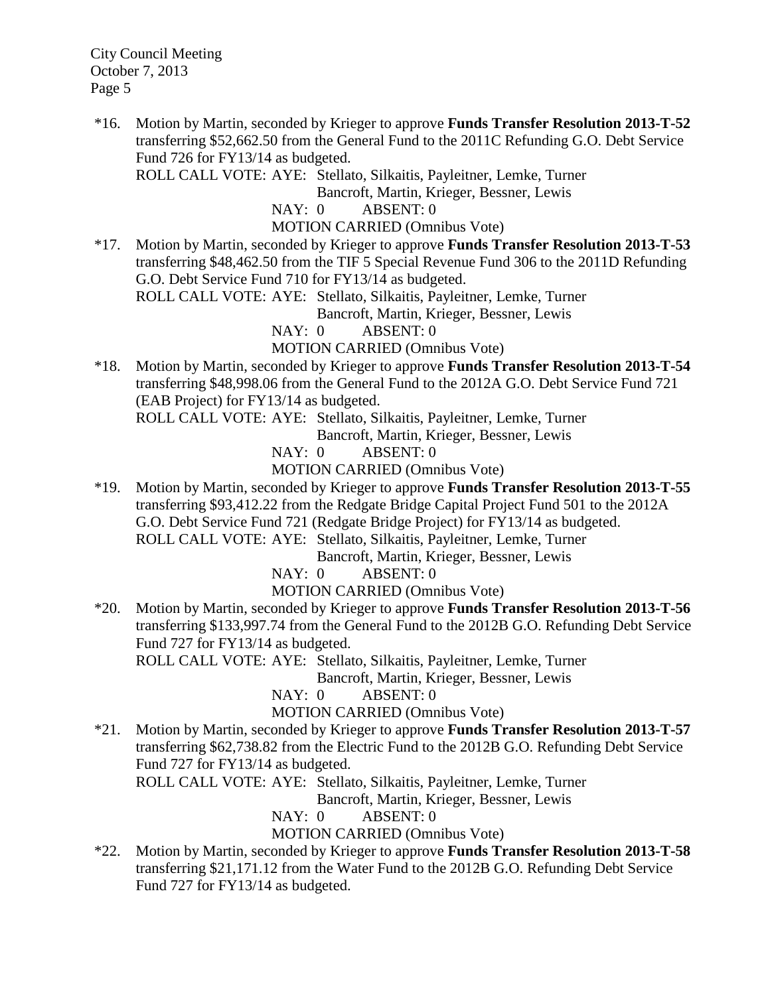\*16. Motion by Martin, seconded by Krieger to approve **Funds Transfer Resolution 2013-T-52** transferring \$52,662.50 from the General Fund to the 2011C Refunding G.O. Debt Service Fund 726 for FY13/14 as budgeted.

ROLL CALL VOTE: AYE: Stellato, Silkaitis, Payleitner, Lemke, Turner

Bancroft, Martin, Krieger, Bessner, Lewis

NAY: 0 ABSENT: 0

MOTION CARRIED (Omnibus Vote)

\*17. Motion by Martin, seconded by Krieger to approve **Funds Transfer Resolution 2013-T-53** transferring \$48,462.50 from the TIF 5 Special Revenue Fund 306 to the 2011D Refunding G.O. Debt Service Fund 710 for FY13/14 as budgeted.

ROLL CALL VOTE: AYE: Stellato, Silkaitis, Payleitner, Lemke, Turner

Bancroft, Martin, Krieger, Bessner, Lewis

NAY: 0 ABSENT: 0

MOTION CARRIED (Omnibus Vote)

\*18. Motion by Martin, seconded by Krieger to approve **Funds Transfer Resolution 2013-T-54** transferring \$48,998.06 from the General Fund to the 2012A G.O. Debt Service Fund 721 (EAB Project) for FY13/14 as budgeted.

ROLL CALL VOTE: AYE: Stellato, Silkaitis, Payleitner, Lemke, Turner

Bancroft, Martin, Krieger, Bessner, Lewis

NAY: 0 ABSENT: 0

MOTION CARRIED (Omnibus Vote)

\*19. Motion by Martin, seconded by Krieger to approve **Funds Transfer Resolution 2013-T-55** transferring \$93,412.22 from the Redgate Bridge Capital Project Fund 501 to the 2012A G.O. Debt Service Fund 721 (Redgate Bridge Project) for FY13/14 as budgeted. ROLL CALL VOTE: AYE: Stellato, Silkaitis, Payleitner, Lemke, Turner

Bancroft, Martin, Krieger, Bessner, Lewis

NAY: 0 ABSENT: 0

MOTION CARRIED (Omnibus Vote)

\*20. Motion by Martin, seconded by Krieger to approve **Funds Transfer Resolution 2013-T-56** transferring \$133,997.74 from the General Fund to the 2012B G.O. Refunding Debt Service Fund 727 for FY13/14 as budgeted.

ROLL CALL VOTE: AYE: Stellato, Silkaitis, Payleitner, Lemke, Turner

Bancroft, Martin, Krieger, Bessner, Lewis

NAY: 0 ABSENT: 0

MOTION CARRIED (Omnibus Vote)

\*21. Motion by Martin, seconded by Krieger to approve **Funds Transfer Resolution 2013-T-57** transferring \$62,738.82 from the Electric Fund to the 2012B G.O. Refunding Debt Service Fund 727 for FY13/14 as budgeted.

ROLL CALL VOTE: AYE: Stellato, Silkaitis, Payleitner, Lemke, Turner

Bancroft, Martin, Krieger, Bessner, Lewis

NAY: 0 ABSENT: 0

MOTION CARRIED (Omnibus Vote)

\*22. Motion by Martin, seconded by Krieger to approve **Funds Transfer Resolution 2013-T-58** transferring \$21,171.12 from the Water Fund to the 2012B G.O. Refunding Debt Service Fund 727 for FY13/14 as budgeted.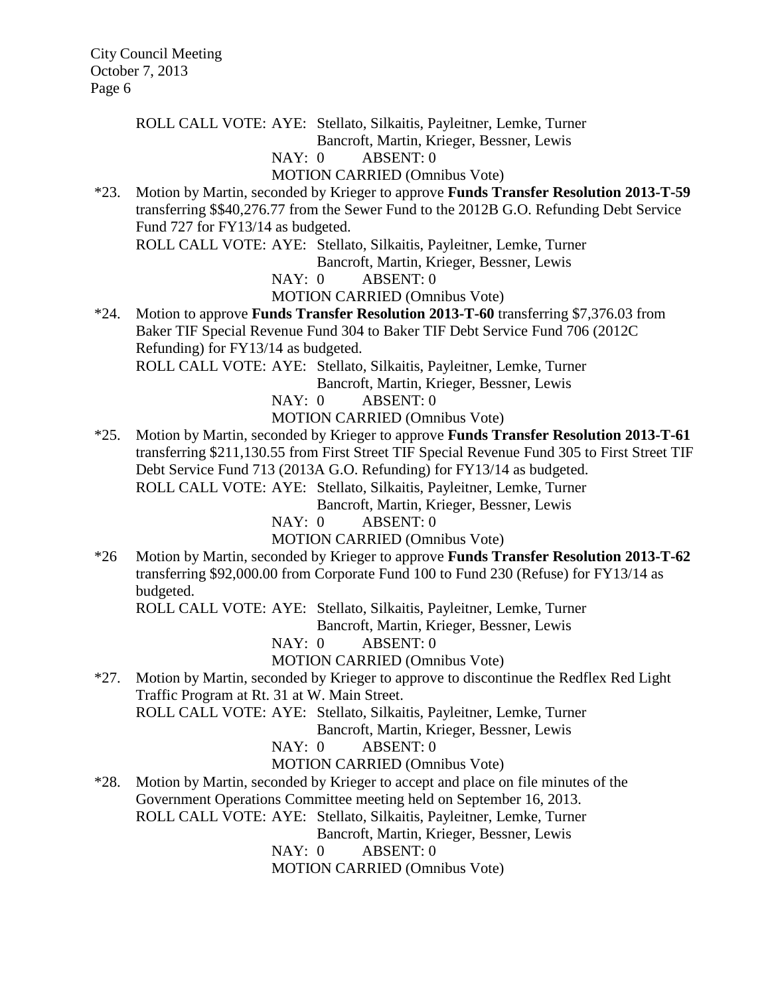ROLL CALL VOTE: AYE: Stellato, Silkaitis, Payleitner, Lemke, Turner

Bancroft, Martin, Krieger, Bessner, Lewis

#### NAY: 0 ABSENT: 0

MOTION CARRIED (Omnibus Vote)

\*23. Motion by Martin, seconded by Krieger to approve **Funds Transfer Resolution 2013-T-59** transferring \$\$40,276.77 from the Sewer Fund to the 2012B G.O. Refunding Debt Service Fund 727 for FY13/14 as budgeted.

ROLL CALL VOTE: AYE: Stellato, Silkaitis, Payleitner, Lemke, Turner

Bancroft, Martin, Krieger, Bessner, Lewis

NAY: 0 ABSENT: 0

MOTION CARRIED (Omnibus Vote)

\*24. Motion to approve **Funds Transfer Resolution 2013-T-60** transferring \$7,376.03 from Baker TIF Special Revenue Fund 304 to Baker TIF Debt Service Fund 706 (2012C Refunding) for FY13/14 as budgeted.

ROLL CALL VOTE: AYE: Stellato, Silkaitis, Payleitner, Lemke, Turner Bancroft, Martin, Krieger, Bessner, Lewis

NAY: 0 ABSENT: 0

MOTION CARRIED (Omnibus Vote)

\*25. Motion by Martin, seconded by Krieger to approve **Funds Transfer Resolution 2013-T-61** transferring \$211,130.55 from First Street TIF Special Revenue Fund 305 to First Street TIF Debt Service Fund 713 (2013A G.O. Refunding) for FY13/14 as budgeted. ROLL CALL VOTE: AYE: Stellato, Silkaitis, Payleitner, Lemke, Turner

Bancroft, Martin, Krieger, Bessner, Lewis

NAY: 0 ABSENT: 0

MOTION CARRIED (Omnibus Vote)

\*26 Motion by Martin, seconded by Krieger to approve **Funds Transfer Resolution 2013-T-62** transferring \$92,000.00 from Corporate Fund 100 to Fund 230 (Refuse) for FY13/14 as budgeted.

ROLL CALL VOTE: AYE: Stellato, Silkaitis, Payleitner, Lemke, Turner

Bancroft, Martin, Krieger, Bessner, Lewis

NAY: 0 ABSENT: 0

#### MOTION CARRIED (Omnibus Vote)

\*27. Motion by Martin, seconded by Krieger to approve to discontinue the Redflex Red Light Traffic Program at Rt. 31 at W. Main Street.

ROLL CALL VOTE: AYE: Stellato, Silkaitis, Payleitner, Lemke, Turner

Bancroft, Martin, Krieger, Bessner, Lewis

NAY: 0 ABSENT: 0

MOTION CARRIED (Omnibus Vote)

\*28. Motion by Martin, seconded by Krieger to accept and place on file minutes of the Government Operations Committee meeting held on September 16, 2013. ROLL CALL VOTE: AYE: Stellato, Silkaitis, Payleitner, Lemke, Turner

Bancroft, Martin, Krieger, Bessner, Lewis

NAY: 0 ABSENT: 0

MOTION CARRIED (Omnibus Vote)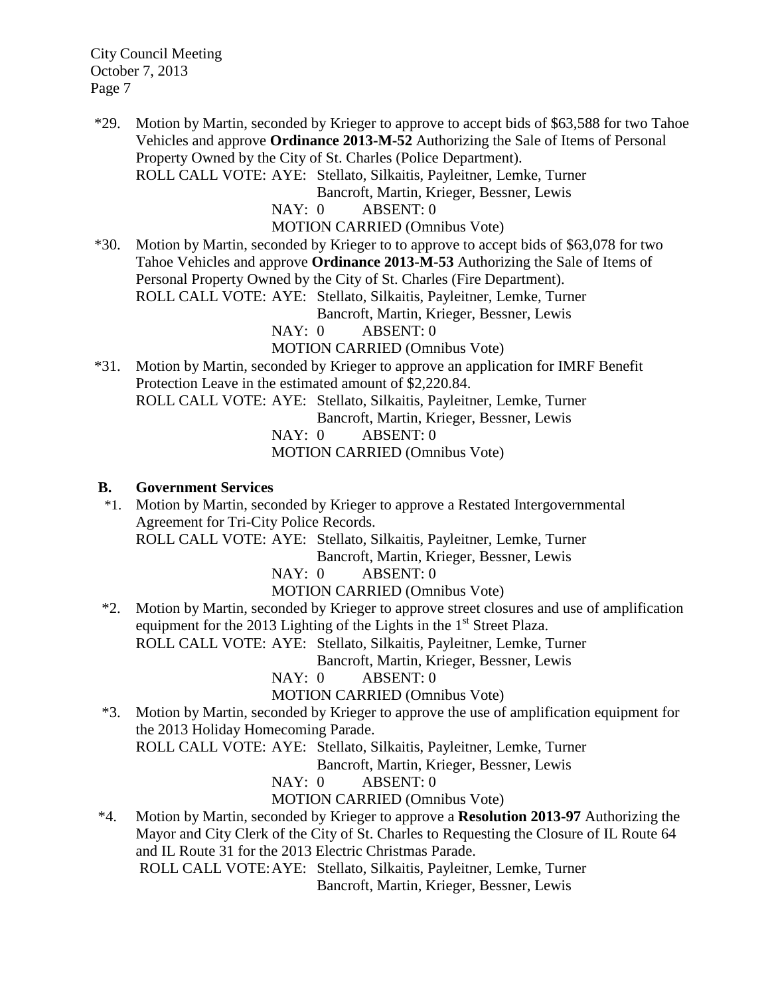\*29. Motion by Martin, seconded by Krieger to approve to accept bids of \$63,588 for two Tahoe Vehicles and approve **Ordinance 2013-M-52** Authorizing the Sale of Items of Personal Property Owned by the City of St. Charles (Police Department).

ROLL CALL VOTE: AYE: Stellato, Silkaitis, Payleitner, Lemke, Turner

Bancroft, Martin, Krieger, Bessner, Lewis

NAY: 0 ABSENT: 0

MOTION CARRIED (Omnibus Vote)

\*30. Motion by Martin, seconded by Krieger to to approve to accept bids of \$63,078 for two Tahoe Vehicles and approve **Ordinance 2013-M-53** Authorizing the Sale of Items of Personal Property Owned by the City of St. Charles (Fire Department). ROLL CALL VOTE: AYE: Stellato, Silkaitis, Payleitner, Lemke, Turner Bancroft, Martin, Krieger, Bessner, Lewis

NAY: 0 ABSENT: 0

MOTION CARRIED (Omnibus Vote)

\*31. Motion by Martin, seconded by Krieger to approve an application for IMRF Benefit Protection Leave in the estimated amount of \$2,220.84. ROLL CALL VOTE: AYE: Stellato, Silkaitis, Payleitner, Lemke, Turner Bancroft, Martin, Krieger, Bessner, Lewis

NAY: 0 ABSENT: 0

MOTION CARRIED (Omnibus Vote)

#### **B. Government Services**

 \*1. Motion by Martin, seconded by Krieger to approve a Restated Intergovernmental Agreement for Tri-City Police Records.

ROLL CALL VOTE: AYE: Stellato, Silkaitis, Payleitner, Lemke, Turner

Bancroft, Martin, Krieger, Bessner, Lewis

NAY: 0 ABSENT: 0

MOTION CARRIED (Omnibus Vote)

 \*2. Motion by Martin, seconded by Krieger to approve street closures and use of amplification equipment for the 2013 Lighting of the Lights in the  $1<sup>st</sup>$  Street Plaza.

ROLL CALL VOTE: AYE: Stellato, Silkaitis, Payleitner, Lemke, Turner

Bancroft, Martin, Krieger, Bessner, Lewis

NAY: 0 ABSENT: 0

MOTION CARRIED (Omnibus Vote)

 \*3. Motion by Martin, seconded by Krieger to approve the use of amplification equipment for the 2013 Holiday Homecoming Parade.

ROLL CALL VOTE: AYE: Stellato, Silkaitis, Payleitner, Lemke, Turner

Bancroft, Martin, Krieger, Bessner, Lewis

NAY: 0 ABSENT: 0

MOTION CARRIED (Omnibus Vote)

 \*4. Motion by Martin, seconded by Krieger to approve a **Resolution 2013-97** Authorizing the Mayor and City Clerk of the City of St. Charles to Requesting the Closure of IL Route 64 and IL Route 31 for the 2013 Electric Christmas Parade.

ROLL CALL VOTE:AYE: Stellato, Silkaitis, Payleitner, Lemke, Turner Bancroft, Martin, Krieger, Bessner, Lewis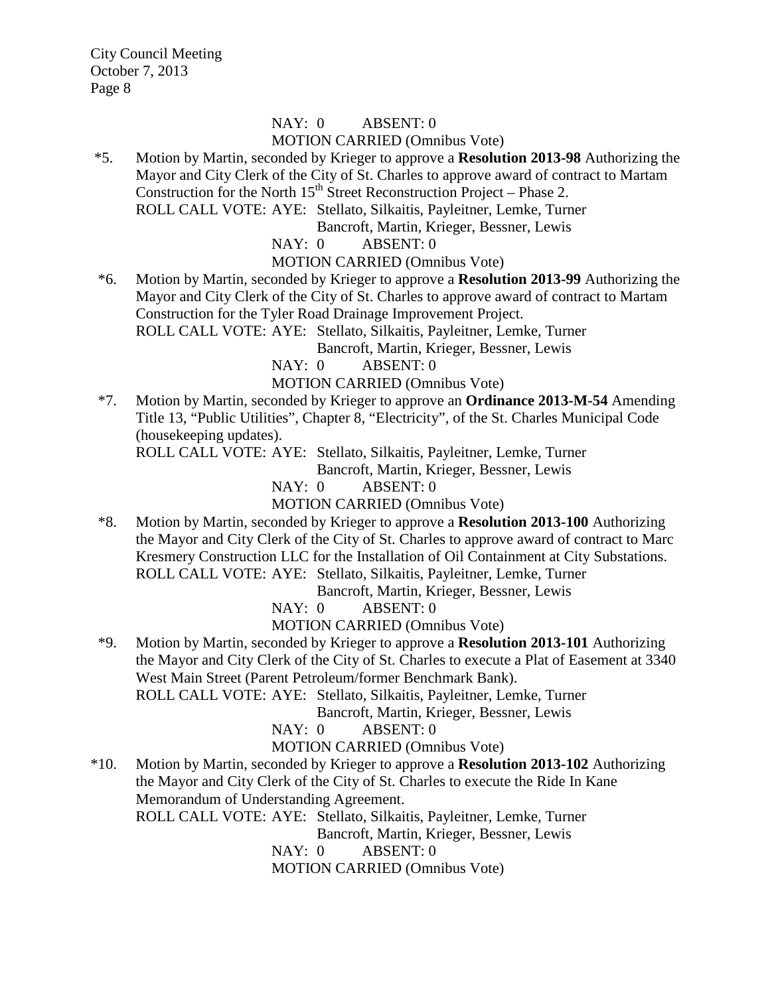# NAY: 0 ABSENT: 0 MOTION CARRIED (Omnibus Vote)

\*5. Motion by Martin, seconded by Krieger to approve a **Resolution 2013-98** Authorizing the Mayor and City Clerk of the City of St. Charles to approve award of contract to Martam Construction for the North  $15<sup>th</sup>$  Street Reconstruction Project – Phase 2. ROLL CALL VOTE: AYE: Stellato, Silkaitis, Payleitner, Lemke, Turner

Bancroft, Martin, Krieger, Bessner, Lewis

NAY: 0 ABSENT: 0

MOTION CARRIED (Omnibus Vote)

 \*6. Motion by Martin, seconded by Krieger to approve a **Resolution 2013-99** Authorizing the Mayor and City Clerk of the City of St. Charles to approve award of contract to Martam Construction for the Tyler Road Drainage Improvement Project.

ROLL CALL VOTE: AYE: Stellato, Silkaitis, Payleitner, Lemke, Turner

Bancroft, Martin, Krieger, Bessner, Lewis

NAY: 0 ABSENT: 0

MOTION CARRIED (Omnibus Vote)

\*7. Motion by Martin, seconded by Krieger to approve an **Ordinance 2013-M-54** Amending Title 13, "Public Utilities", Chapter 8, "Electricity", of the St. Charles Municipal Code (housekeeping updates).

ROLL CALL VOTE: AYE: Stellato, Silkaitis, Payleitner, Lemke, Turner

Bancroft, Martin, Krieger, Bessner, Lewis

NAY: 0 ABSENT: 0

MOTION CARRIED (Omnibus Vote)

 \*8. Motion by Martin, seconded by Krieger to approve a **Resolution 2013-100** Authorizing the Mayor and City Clerk of the City of St. Charles to approve award of contract to Marc Kresmery Construction LLC for the Installation of Oil Containment at City Substations. ROLL CALL VOTE: AYE: Stellato, Silkaitis, Payleitner, Lemke, Turner

Bancroft, Martin, Krieger, Bessner, Lewis

NAY: 0 ABSENT: 0

MOTION CARRIED (Omnibus Vote)

 \*9. Motion by Martin, seconded by Krieger to approve a **Resolution 2013-101** Authorizing the Mayor and City Clerk of the City of St. Charles to execute a Plat of Easement at 3340 West Main Street (Parent Petroleum/former Benchmark Bank).

ROLL CALL VOTE: AYE: Stellato, Silkaitis, Payleitner, Lemke, Turner

Bancroft, Martin, Krieger, Bessner, Lewis

NAY: 0 ABSENT: 0

MOTION CARRIED (Omnibus Vote)

\*10. Motion by Martin, seconded by Krieger to approve a **Resolution 2013-102** Authorizing the Mayor and City Clerk of the City of St. Charles to execute the Ride In Kane Memorandum of Understanding Agreement.

ROLL CALL VOTE: AYE: Stellato, Silkaitis, Payleitner, Lemke, Turner

Bancroft, Martin, Krieger, Bessner, Lewis

NAY: 0 ABSENT: 0

MOTION CARRIED (Omnibus Vote)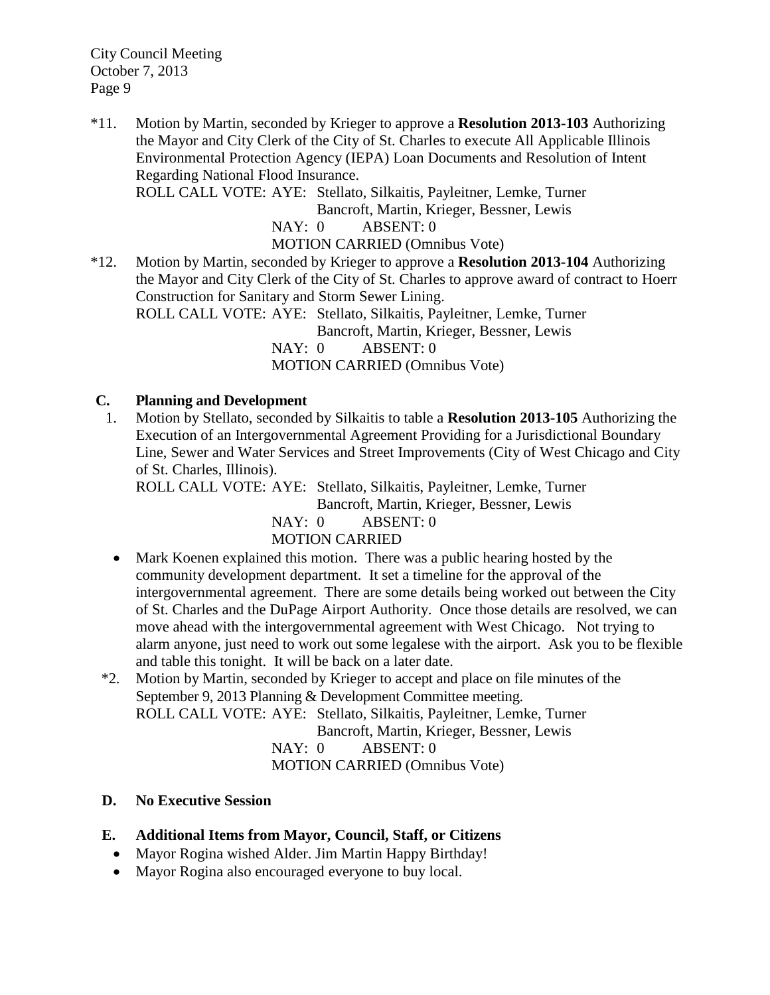\*11. Motion by Martin, seconded by Krieger to approve a **Resolution 2013-103** Authorizing the Mayor and City Clerk of the City of St. Charles to execute All Applicable Illinois Environmental Protection Agency (IEPA) Loan Documents and Resolution of Intent Regarding National Flood Insurance.

ROLL CALL VOTE: AYE: Stellato, Silkaitis, Payleitner, Lemke, Turner

Bancroft, Martin, Krieger, Bessner, Lewis

NAY: 0 ABSENT: 0

MOTION CARRIED (Omnibus Vote)

\*12. Motion by Martin, seconded by Krieger to approve a **Resolution 2013-104** Authorizing the Mayor and City Clerk of the City of St. Charles to approve award of contract to Hoerr Construction for Sanitary and Storm Sewer Lining.

ROLL CALL VOTE: AYE: Stellato, Silkaitis, Payleitner, Lemke, Turner Bancroft, Martin, Krieger, Bessner, Lewis NAY: 0 ABSENT: 0

MOTION CARRIED (Omnibus Vote)

### **C. Planning and Development**

 1. Motion by Stellato, seconded by Silkaitis to table a **Resolution 2013-105** Authorizing the Execution of an Intergovernmental Agreement Providing for a Jurisdictional Boundary Line, Sewer and Water Services and Street Improvements (City of West Chicago and City of St. Charles, Illinois).

ROLL CALL VOTE: AYE: Stellato, Silkaitis, Payleitner, Lemke, Turner Bancroft, Martin, Krieger, Bessner, Lewis NAY: 0 ABSENT: 0 MOTION CARRIED

- Mark Koenen explained this motion. There was a public hearing hosted by the community development department. It set a timeline for the approval of the intergovernmental agreement. There are some details being worked out between the City of St. Charles and the DuPage Airport Authority. Once those details are resolved, we can move ahead with the intergovernmental agreement with West Chicago. Not trying to alarm anyone, just need to work out some legalese with the airport. Ask you to be flexible and table this tonight. It will be back on a later date.
- \*2. Motion by Martin, seconded by Krieger to accept and place on file minutes of the September 9, 2013 Planning & Development Committee meeting. ROLL CALL VOTE: AYE: Stellato, Silkaitis, Payleitner, Lemke, Turner Bancroft, Martin, Krieger, Bessner, Lewis NAY: 0 ABSENT: 0 MOTION CARRIED (Omnibus Vote)

### **D. No Executive Session**

# **E. Additional Items from Mayor, Council, Staff, or Citizens**

- Mayor Rogina wished Alder. Jim Martin Happy Birthday!
- Mayor Rogina also encouraged everyone to buy local.